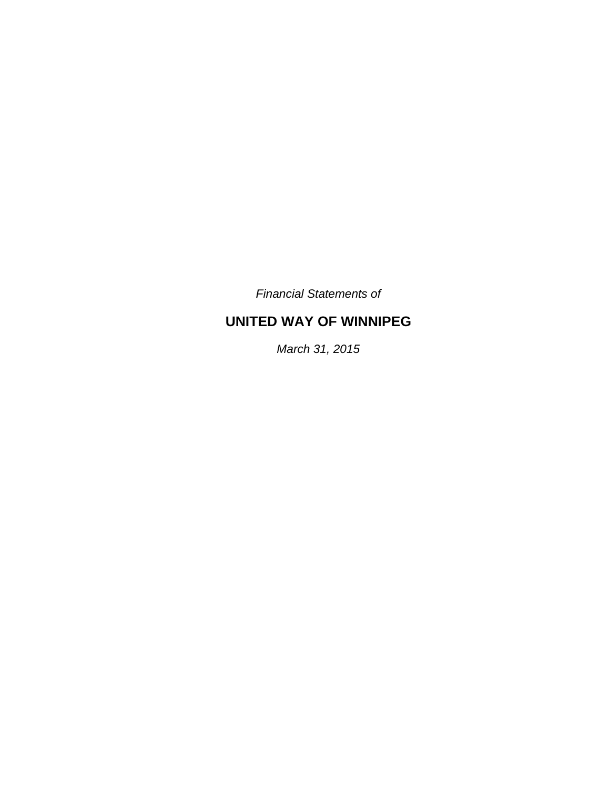*Financial Statements of* 

# **UNITED WAY OF WINNIPEG**

*March 31, 2015*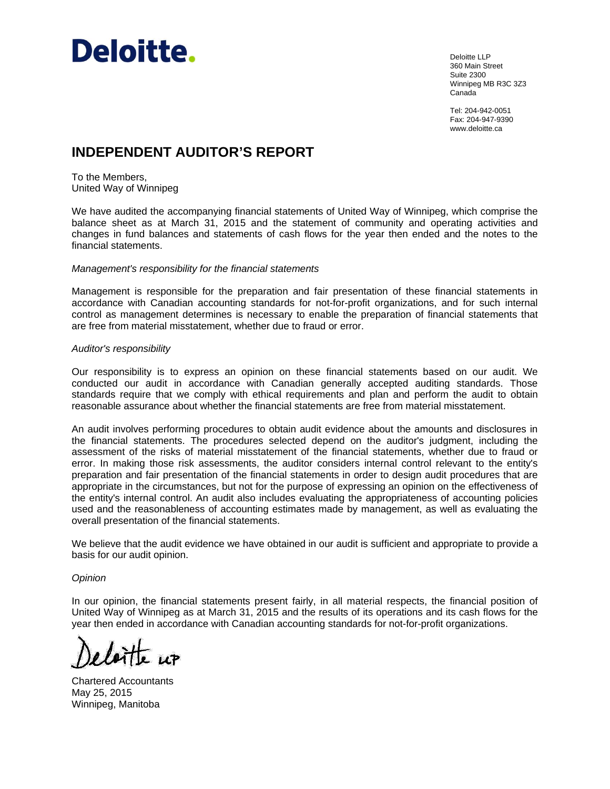

Deloitte LLP 360 Main Street Suite 2300 Winnipeg MB R3C 3Z3 Canada

Tel: 204-942-0051 Fax: 204-947-9390 www.deloitte.ca

# **INDEPENDENT AUDITOR'S REPORT**

To the Members, United Way of Winnipeg

balance sheet as at March 31, 2015 and the statement of community and operating activities and financial statements. We have audited the accompanying financial statements of United Way of Winnipeg, which comprise the changes in fund balances and statements of cash flows for the year then ended and the notes to the

#### *Management's responsibility for the financial statements*

 Management is responsible for the preparation and fair presentation of these financial statements in accordance with Canadian accounting standards for not-for-profit organizations, and for such internal control as management determines is necessary to enable the preparation of financial statements that are free from material misstatement, whether due to fraud or error.

#### *Auditor's responsibility*

Our responsibility is to express an opinion on these financial statements based on our audit. We conducted our audit in accordance with Canadian generally accepted auditing standards. Those standards require that we comply with ethical requirements and plan and perform the audit to obtain reasonable assurance about whether the financial statements are free from material misstatement.

An audit involves performing procedures to obtain audit evidence about the amounts and disclosures in the financial statements. The procedures selected depend on the auditor's judgment, including the assessment of the risks of material misstatement of the financial statements, whether due to fraud or error. In making those risk assessments, the auditor considers internal control relevant to the entity's preparation and fair presentation of the financial statements in order to design audit procedures that are appropriate in the circumstances, but not for the purpose of expressing an opinion on the effectiveness of the entity's internal control. An audit also includes evaluating the appropriateness of accounting policies used and the reasonableness of accounting estimates made by management, as well as evaluating the overall presentation of the financial statements.

We believe that the audit evidence we have obtained in our audit is sufficient and appropriate to provide a basis for our audit opinion.

#### *Opinion*

In our opinion, the financial statements present fairly, in all material respects, the financial position of United Way of Winnipeg as at March 31, 2015 and the results of its operations and its cash flows for the year then ended in accordance with Canadian accounting standards for not-for-profit organizations.

Chartered Accountants May 25, 2015 Winnipeg, Manitoba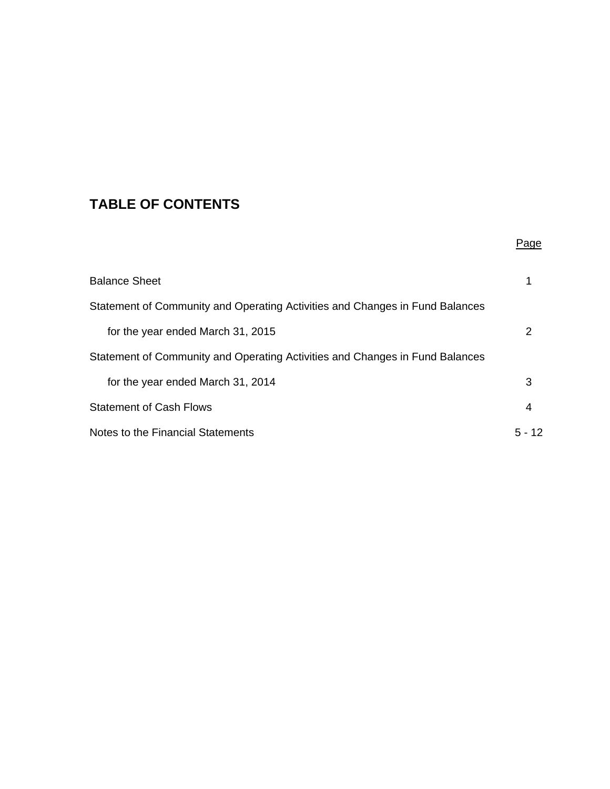# **TABLE OF CONTENTS**

|                                                                              | Page   |
|------------------------------------------------------------------------------|--------|
| <b>Balance Sheet</b>                                                         |        |
| Statement of Community and Operating Activities and Changes in Fund Balances |        |
| for the year ended March 31, 2015                                            | 2      |
| Statement of Community and Operating Activities and Changes in Fund Balances |        |
| for the year ended March 31, 2014                                            | 3      |
| <b>Statement of Cash Flows</b>                                               | 4      |
| Notes to the Financial Statements                                            | 5 - 12 |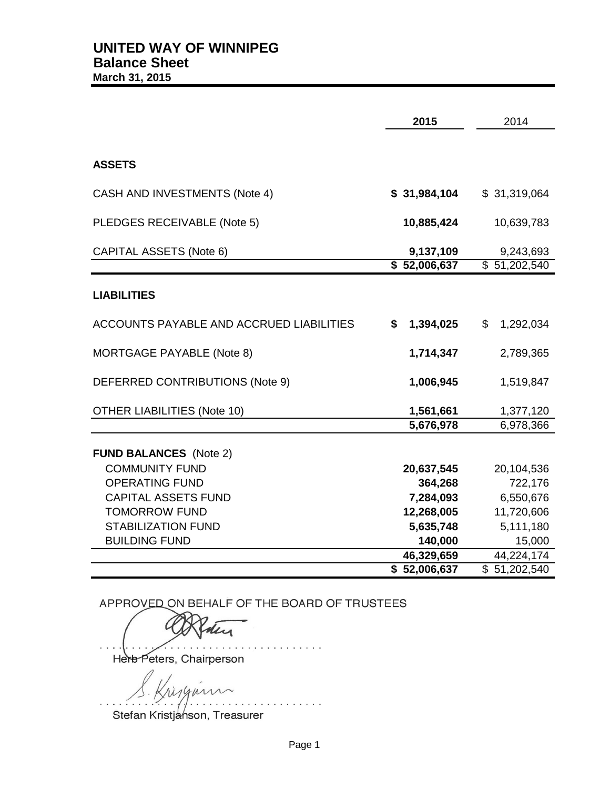|                                          | 2015            | 2014                        |
|------------------------------------------|-----------------|-----------------------------|
|                                          |                 |                             |
| <b>ASSETS</b>                            |                 |                             |
|                                          |                 |                             |
| CASH AND INVESTMENTS (Note 4)            | \$31,984,104    | \$31,319,064                |
| PLEDGES RECEIVABLE (Note 5)              | 10,885,424      | 10,639,783                  |
|                                          |                 |                             |
| <b>CAPITAL ASSETS (Note 6)</b>           | 9,137,109       | 9,243,693                   |
|                                          | \$52,006,637    | \$51,202,540                |
| <b>LIABILITIES</b>                       |                 |                             |
|                                          |                 |                             |
| ACCOUNTS PAYABLE AND ACCRUED LIABILITIES | 1,394,025<br>\$ | $\mathfrak{L}$<br>1,292,034 |
| MORTGAGE PAYABLE (Note 8)                | 1,714,347       | 2,789,365                   |
|                                          |                 |                             |
| DEFERRED CONTRIBUTIONS (Note 9)          | 1,006,945       | 1,519,847                   |
|                                          |                 |                             |
| <b>OTHER LIABILITIES (Note 10)</b>       | 1,561,661       | 1,377,120                   |
|                                          | 5,676,978       | 6,978,366                   |
| <b>FUND BALANCES</b> (Note 2)            |                 |                             |
| <b>COMMUNITY FUND</b>                    | 20,637,545      | 20,104,536                  |
| <b>OPERATING FUND</b>                    | 364,268         | 722,176                     |
| <b>CAPITAL ASSETS FUND</b>               | 7,284,093       | 6,550,676                   |
| <b>TOMORROW FUND</b>                     | 12,268,005      | 11,720,606                  |
| <b>STABILIZATION FUND</b>                | 5,635,748       | 5,111,180                   |
| <b>BUILDING FUND</b>                     | 140,000         | 15,000                      |
|                                          | 46,329,659      | 44,224,174                  |
|                                          | \$52,006,637    | \$51,202,540                |

APPROVED ON BEHALF OF THE BOARD OF TRUSTEES

Mur . . . . . . . . . . . . . . . . . . . . . . . . . . . . . . . . . . .

Herb Peters, Chairperson

 $\mu$ . . . . . . . . . . . . . . . . . . . . . . . . . . . . . . . . . . .

Stefan Kristjanson, Treasurer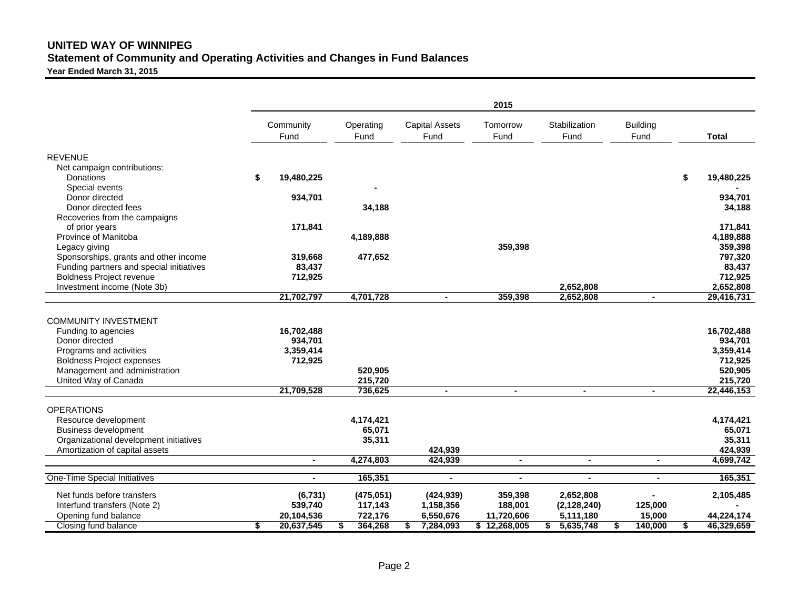## **UNITED WAY OF WINNIPEG Statement of Community and Operating Activities and Changes in Fund Balances**

**Year Ended March 31, 2015**

|                                          |    |                |            |                       | 2015           |                |                 |    |            |
|------------------------------------------|----|----------------|------------|-----------------------|----------------|----------------|-----------------|----|------------|
|                                          |    | Community      | Operating  | <b>Capital Assets</b> | Tomorrow       | Stabilization  | <b>Building</b> |    |            |
|                                          |    | Fund           | Fund       | Fund                  | Fund           | Fund           | Fund            |    | Total      |
| <b>REVENUE</b>                           |    |                |            |                       |                |                |                 |    |            |
| Net campaign contributions:              |    |                |            |                       |                |                |                 |    |            |
| <b>Donations</b>                         | \$ | 19,480,225     |            |                       |                |                |                 | \$ | 19,480,225 |
| Special events                           |    |                |            |                       |                |                |                 |    |            |
| Donor directed                           |    | 934,701        |            |                       |                |                |                 |    | 934,701    |
| Donor directed fees                      |    |                | 34,188     |                       |                |                |                 |    | 34,188     |
| Recoveries from the campaigns            |    |                |            |                       |                |                |                 |    |            |
| of prior years                           |    | 171,841        |            |                       |                |                |                 |    | 171,841    |
| Province of Manitoba                     |    |                | 4,189,888  |                       |                |                |                 |    | 4,189,888  |
| Legacy giving                            |    |                |            |                       | 359,398        |                |                 |    | 359,398    |
| Sponsorships, grants and other income    |    | 319,668        | 477,652    |                       |                |                |                 |    | 797,320    |
| Funding partners and special initiatives |    | 83,437         |            |                       |                |                |                 |    | 83,437     |
| <b>Boldness Project revenue</b>          |    | 712,925        |            |                       |                |                |                 |    | 712,925    |
| Investment income (Note 3b)              |    |                |            |                       |                | 2,652,808      |                 |    | 2,652,808  |
|                                          |    | 21,702,797     | 4,701,728  | $\blacksquare$        | 359,398        | 2,652,808      | $\blacksquare$  |    | 29,416,731 |
|                                          |    |                |            |                       |                |                |                 |    |            |
| <b>COMMUNITY INVESTMENT</b>              |    |                |            |                       |                |                |                 |    |            |
| Funding to agencies                      |    | 16,702,488     |            |                       |                |                |                 |    | 16,702,488 |
| Donor directed                           |    | 934,701        |            |                       |                |                |                 |    | 934,701    |
| Programs and activities                  |    | 3,359,414      |            |                       |                |                |                 |    | 3,359,414  |
| <b>Boldness Project expenses</b>         |    | 712,925        |            |                       |                |                |                 |    | 712,925    |
| Management and administration            |    |                | 520,905    |                       |                |                |                 |    | 520,905    |
| United Way of Canada                     |    |                | 215.720    |                       |                |                |                 |    | 215,720    |
|                                          |    | 21,709,528     | 736,625    | $\blacksquare$        | $\blacksquare$ | $\blacksquare$ | $\blacksquare$  |    | 22,446,153 |
| <b>OPERATIONS</b>                        |    |                |            |                       |                |                |                 |    |            |
| Resource development                     |    |                | 4,174,421  |                       |                |                |                 |    | 4,174,421  |
| <b>Business development</b>              |    |                | 65,071     |                       |                |                |                 |    | 65,071     |
| Organizational development initiatives   |    |                | 35,311     |                       |                |                |                 |    | 35,311     |
| Amortization of capital assets           |    |                |            | 424,939               |                |                |                 |    | 424,939    |
|                                          |    | $\blacksquare$ | 4,274,803  | 424,939               | $\blacksquare$ | $\sim$         | $\blacksquare$  |    | 4,699,742  |
|                                          |    |                |            |                       |                |                |                 |    |            |
| <b>One-Time Special Initiatives</b>      |    | $\blacksquare$ | 165,351    | $\blacksquare$        | $\blacksquare$ | $\blacksquare$ | $\blacksquare$  |    | 165,351    |
| Net funds before transfers               |    | (6, 731)       | (475, 051) | (424, 939)            | 359,398        | 2,652,808      |                 |    | 2,105,485  |
| Interfund transfers (Note 2)             |    | 539,740        | 117,143    | 1,158,356             | 188,001        | (2, 128, 240)  | 125,000         |    |            |
| Opening fund balance                     |    | 20,104,536     | 722,176    | 6,550,676             | 11,720,606     | 5,111,180      | 15,000          |    | 44,224,174 |
| Closing fund balance                     | S  | 20,637,545     | 364,268    | 7,284,093             | \$12,268,005   | 5,635,748      | 140,000         | S  | 46,329,659 |
|                                          |    |                |            |                       |                |                |                 |    |            |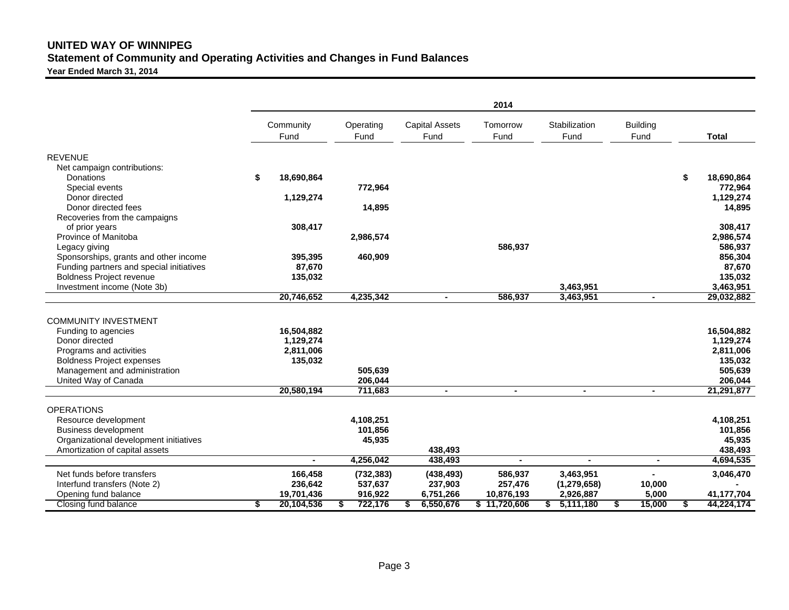## **UNITED WAY OF WINNIPEG Statement of Community and Operating Activities and Changes in Fund Balances**

**Year Ended March 31, 2014**

|                                          |                  |               |                       | 2014           |                 |                 |                  |
|------------------------------------------|------------------|---------------|-----------------------|----------------|-----------------|-----------------|------------------|
|                                          | Community        | Operating     | <b>Capital Assets</b> | Tomorrow       | Stabilization   | <b>Building</b> |                  |
|                                          | Fund             | Fund          | Fund                  | Fund           | Fund            | Fund            | <b>Total</b>     |
| <b>REVENUE</b>                           |                  |               |                       |                |                 |                 |                  |
| Net campaign contributions:              |                  |               |                       |                |                 |                 |                  |
| <b>Donations</b>                         | \$<br>18,690,864 |               |                       |                |                 |                 | \$<br>18,690,864 |
| Special events                           |                  | 772,964       |                       |                |                 |                 | 772,964          |
| Donor directed                           | 1,129,274        |               |                       |                |                 |                 | 1,129,274        |
| Donor directed fees                      |                  | 14,895        |                       |                |                 |                 | 14,895           |
| Recoveries from the campaigns            |                  |               |                       |                |                 |                 |                  |
| of prior years                           | 308,417          |               |                       |                |                 |                 | 308,417          |
| Province of Manitoba                     |                  | 2,986,574     |                       |                |                 |                 | 2,986,574        |
| Legacy giving                            |                  |               |                       | 586,937        |                 |                 | 586.937          |
| Sponsorships, grants and other income    | 395,395          | 460,909       |                       |                |                 |                 | 856,304          |
| Funding partners and special initiatives | 87,670           |               |                       |                |                 |                 | 87,670           |
| <b>Boldness Project revenue</b>          | 135,032          |               |                       |                |                 |                 | 135,032          |
| Investment income (Note 3b)              |                  |               |                       |                | 3,463,951       |                 | 3,463,951        |
|                                          | 20,746,652       | 4,235,342     | $\blacksquare$        | 586.937        | 3,463,951       | $\blacksquare$  | 29,032,882       |
|                                          |                  |               |                       |                |                 |                 |                  |
| <b>COMMUNITY INVESTMENT</b>              |                  |               |                       |                |                 |                 |                  |
| Funding to agencies                      | 16,504,882       |               |                       |                |                 |                 | 16,504,882       |
| Donor directed                           | 1,129,274        |               |                       |                |                 |                 | 1,129,274        |
| Programs and activities                  | 2,811,006        |               |                       |                |                 |                 | 2,811,006        |
| <b>Boldness Project expenses</b>         | 135,032          |               |                       |                |                 |                 | 135,032          |
| Management and administration            |                  | 505,639       |                       |                |                 |                 | 505,639          |
| United Way of Canada                     |                  | 206,044       |                       |                |                 |                 | 206,044          |
|                                          | 20,580,194       | 711,683       | $\sim$                | $\sim$         | $\blacksquare$  | $\blacksquare$  | 21,291,877       |
|                                          |                  |               |                       |                |                 |                 |                  |
| <b>OPERATIONS</b>                        |                  |               |                       |                |                 |                 |                  |
| Resource development                     |                  | 4,108,251     |                       |                |                 |                 | 4,108,251        |
| <b>Business development</b>              |                  | 101,856       |                       |                |                 |                 | 101,856          |
| Organizational development initiatives   |                  | 45,935        |                       |                |                 |                 | 45,935           |
| Amortization of capital assets           |                  |               | 438,493               |                |                 |                 | 438,493          |
|                                          | $\sim$           | 4,256,042     | 438,493               | $\blacksquare$ | $\sim$          | $\sim$          | 4,694,535        |
| Net funds before transfers               | 166,458          | (732, 383)    | (438, 493)            | 586,937        | 3,463,951       |                 | 3,046,470        |
| Interfund transfers (Note 2)             | 236,642          | 537,637       | 237,903               | 257,476        | (1, 279, 658)   | 10,000          |                  |
| Opening fund balance                     | 19,701,436       | 916,922       | 6,751,266             | 10,876,193     | 2,926,887       | 5,000           | 41,177,704       |
| Closing fund balance                     | \$<br>20,104,536 | \$<br>722,176 | 6,550,676             | \$11,720,606   | 5,111,180<br>\$ | \$<br>15,000    | \$<br>44,224,174 |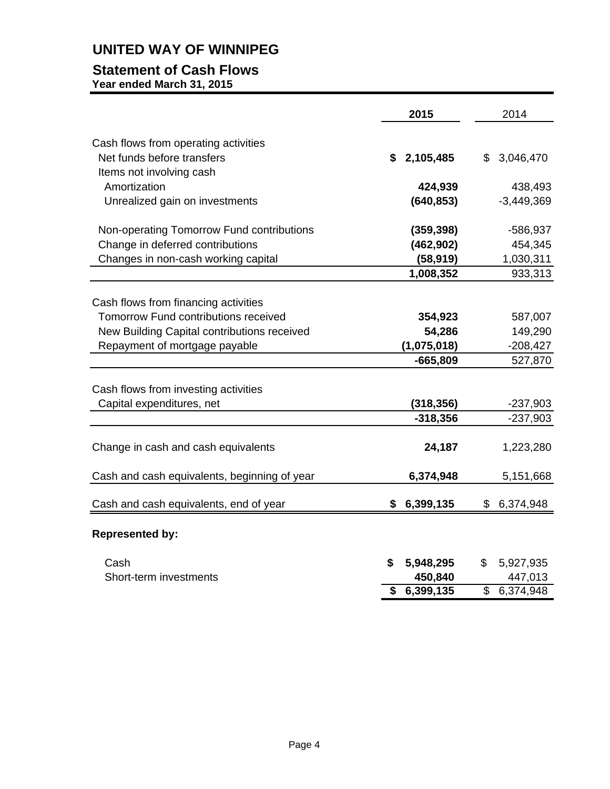# **UNITED WAY OF WINNIPEG**

## **Statement of Cash Flows**

**Year ended March 31, 2015** 

|                                                                    | 2015            | 2014                        |
|--------------------------------------------------------------------|-----------------|-----------------------------|
| Cash flows from operating activities<br>Net funds before transfers | 2,105,485<br>\$ | $\mathfrak{L}$<br>3,046,470 |
| Items not involving cash                                           |                 |                             |
| Amortization                                                       | 424,939         | 438,493                     |
| Unrealized gain on investments                                     | (640, 853)      | $-3,449,369$                |
| Non-operating Tomorrow Fund contributions                          | (359, 398)      | -586,937                    |
| Change in deferred contributions                                   | (462, 902)      | 454,345                     |
| Changes in non-cash working capital                                | (58, 919)       | 1,030,311                   |
|                                                                    | 1,008,352       | 933,313                     |
| Cash flows from financing activities                               |                 |                             |
| <b>Tomorrow Fund contributions received</b>                        | 354,923         | 587,007                     |
| New Building Capital contributions received                        | 54,286          | 149,290                     |
| Repayment of mortgage payable                                      | (1,075,018)     | $-208,427$                  |
|                                                                    | $-665,809$      | 527,870                     |
|                                                                    |                 |                             |
| Cash flows from investing activities                               |                 |                             |
| Capital expenditures, net                                          | (318, 356)      | $-237,903$                  |
|                                                                    | $-318,356$      | $-237,903$                  |
| Change in cash and cash equivalents                                | 24,187          | 1,223,280                   |
| Cash and cash equivalents, beginning of year                       | 6,374,948       | 5,151,668                   |
| Cash and cash equivalents, end of year                             | \$<br>6,399,135 | 6,374,948<br>\$             |
| <b>Represented by:</b>                                             |                 |                             |
| Cash                                                               | 5,948,295<br>S  | \$5,927,935                 |
| Short-term investments                                             | 450,840         | 447,013                     |
|                                                                    | \$6,399,135     | \$6,374,948                 |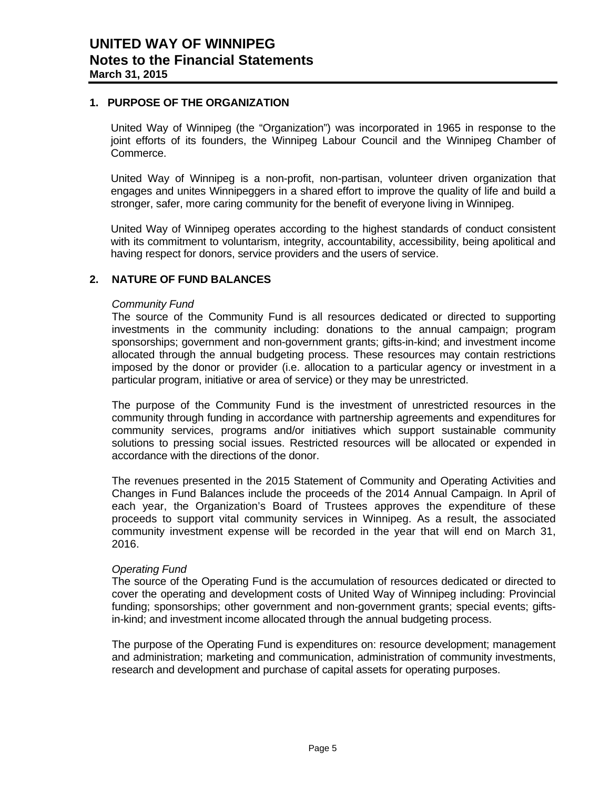### **1. PURPOSE OF THE ORGANIZATION**

United Way of Winnipeg (the "Organization") was incorporated in 1965 in response to the joint efforts of its founders, the Winnipeg Labour Council and the Winnipeg Chamber of Commerce.

United Way of Winnipeg is a non-profit, non-partisan, volunteer driven organization that engages and unites Winnipeggers in a shared effort to improve the quality of life and build a stronger, safer, more caring community for the benefit of everyone living in Winnipeg.

United Way of Winnipeg operates according to the highest standards of conduct consistent with its commitment to voluntarism, integrity, accountability, accessibility, being apolitical and having respect for donors, service providers and the users of service.

## **2. NATURE OF FUND BALANCES**

#### *Community Fund*

 The source of the Community Fund is all resources dedicated or directed to supporting investments in the community including: donations to the annual campaign; program sponsorships; government and non-government grants; gifts-in-kind; and investment income allocated through the annual budgeting process. These resources may contain restrictions imposed by the donor or provider (i.e. allocation to a particular agency or investment in a particular program, initiative or area of service) or they may be unrestricted.

 The purpose of the Community Fund is the investment of unrestricted resources in the community through funding in accordance with partnership agreements and expenditures for community services, programs and/or initiatives which support sustainable community solutions to pressing social issues. Restricted resources will be allocated or expended in accordance with the directions of the donor.

 The revenues presented in the 2015 Statement of Community and Operating Activities and Changes in Fund Balances include the proceeds of the 2014 Annual Campaign. In April of each year, the Organization's Board of Trustees approves the expenditure of these proceeds to support vital community services in Winnipeg. As a result, the associated community investment expense will be recorded in the year that will end on March 31, 2016.

#### *Operating Fund*

 The source of the Operating Fund is the accumulation of resources dedicated or directed to cover the operating and development costs of United Way of Winnipeg including: Provincial funding; sponsorships; other government and non-government grants; special events; giftsin-kind; and investment income allocated through the annual budgeting process.

 The purpose of the Operating Fund is expenditures on: resource development; management and administration; marketing and communication, administration of community investments, research and development and purchase of capital assets for operating purposes.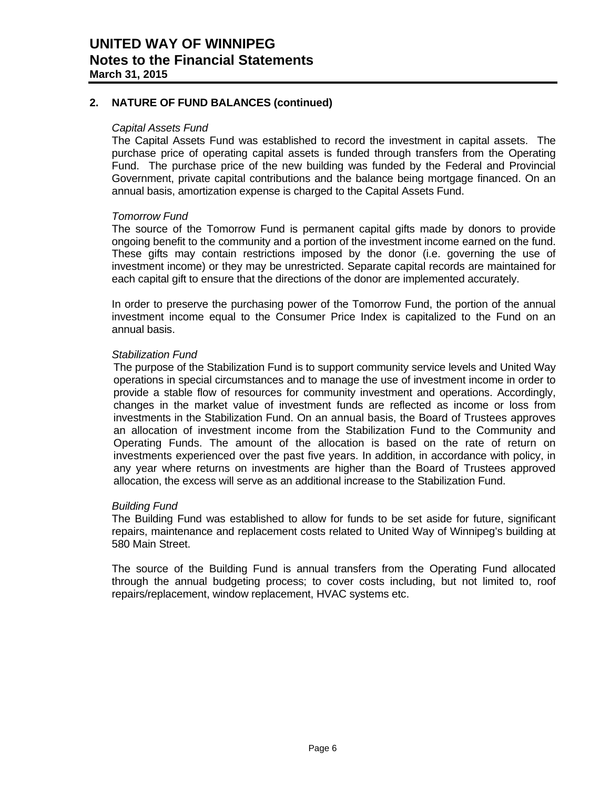## **2. NATURE OF FUND BALANCES (continued)**

#### *Capital Assets Fund*

 The Capital Assets Fund was established to record the investment in capital assets. The purchase price of operating capital assets is funded through transfers from the Operating Fund. The purchase price of the new building was funded by the Federal and Provincial Government, private capital contributions and the balance being mortgage financed. On an annual basis, amortization expense is charged to the Capital Assets Fund.

#### *Tomorrow Fund*

 The source of the Tomorrow Fund is permanent capital gifts made by donors to provide ongoing benefit to the community and a portion of the investment income earned on the fund. These gifts may contain restrictions imposed by the donor (i.e. governing the use of investment income) or they may be unrestricted. Separate capital records are maintained for each capital gift to ensure that the directions of the donor are implemented accurately.

 In order to preserve the purchasing power of the Tomorrow Fund, the portion of the annual investment income equal to the Consumer Price Index is capitalized to the Fund on an annual basis.

#### *Stabilization Fund*

 The purpose of the Stabilization Fund is to support community service levels and United Way operations in special circumstances and to manage the use of investment income in order to provide a stable flow of resources for community investment and operations. Accordingly, changes in the market value of investment funds are reflected as income or loss from investments in the Stabilization Fund. On an annual basis, the Board of Trustees approves an allocation of investment income from the Stabilization Fund to the Community and Operating Funds. The amount of the allocation is based on the rate of return on investments experienced over the past five years. In addition, in accordance with policy, in any year where returns on investments are higher than the Board of Trustees approved allocation, the excess will serve as an additional increase to the Stabilization Fund.

#### *Building Fund*

The Building Fund was established to allow for funds to be set aside for future, significant repairs, maintenance and replacement costs related to United Way of Winnipeg's building at 580 Main Street.

The source of the Building Fund is annual transfers from the Operating Fund allocated through the annual budgeting process; to cover costs including, but not limited to, roof repairs/replacement, window replacement, HVAC systems etc.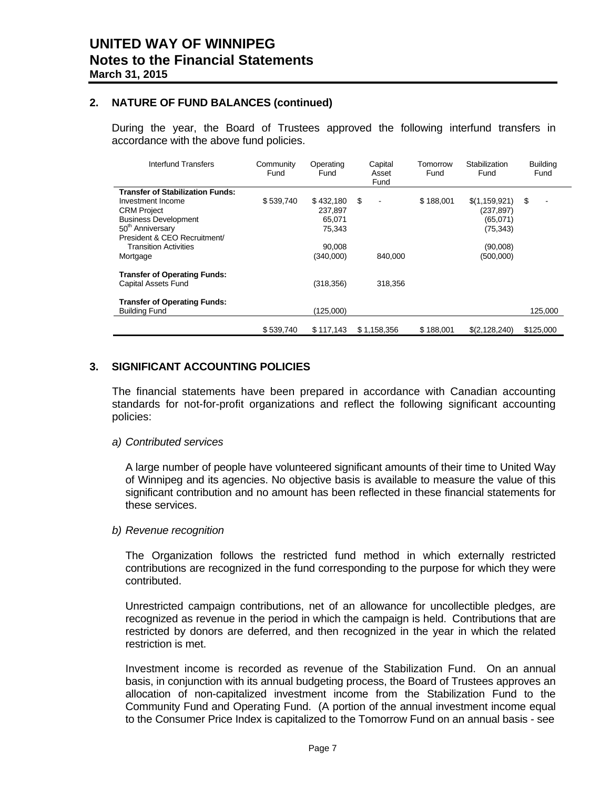## **2. NATURE OF FUND BALANCES (continued)**

During the year, the Board of Trustees approved the following interfund transfers in accordance with the above fund policies.

| Interfund Transfers                     | Community<br>Fund | Operating<br>Fund | Capital<br>Asset<br>Fund       | Tomorrow<br>Fund | Stabilization<br>Fund | <b>Building</b><br>Fund |
|-----------------------------------------|-------------------|-------------------|--------------------------------|------------------|-----------------------|-------------------------|
| <b>Transfer of Stabilization Funds:</b> |                   |                   |                                |                  |                       |                         |
| Investment Income                       | \$539,740         | \$432,180         | \$<br>$\overline{\phantom{a}}$ | \$188,001        | \$(1,159,921)         | \$<br>-                 |
| <b>CRM Project</b>                      |                   | 237,897           |                                |                  | (237, 897)            |                         |
| <b>Business Development</b>             |                   | 65,071            |                                |                  | (65,071)              |                         |
| 50 <sup>th</sup> Anniversary            |                   | 75,343            |                                |                  | (75, 343)             |                         |
| President & CEO Recruitment/            |                   |                   |                                |                  |                       |                         |
| <b>Transition Activities</b>            |                   | 90.008            |                                |                  | (90,008)              |                         |
| Mortgage                                |                   | (340,000)         | 840.000                        |                  | (500,000)             |                         |
| <b>Transfer of Operating Funds:</b>     |                   |                   |                                |                  |                       |                         |
| Capital Assets Fund                     |                   | (318, 356)        | 318,356                        |                  |                       |                         |
| <b>Transfer of Operating Funds:</b>     |                   |                   |                                |                  |                       |                         |
| <b>Building Fund</b>                    |                   | (125,000)         |                                |                  |                       | 125.000                 |
|                                         | \$539.740         | \$117,143         | \$1,158,356                    | \$188,001        | \$(2,128,240)         | \$125,000               |

## **3. SIGNIFICANT ACCOUNTING POLICIES**

The financial statements have been prepared in accordance with Canadian accounting standards for not-for-profit organizations and reflect the following significant accounting policies:

*a) Contributed services* 

 A large number of people have volunteered significant amounts of their time to United Way of Winnipeg and its agencies. No objective basis is available to measure the value of this significant contribution and no amount has been reflected in these financial statements for these services.

#### *b) Revenue recognition*

 The Organization follows the restricted fund method in which externally restricted contributions are recognized in the fund corresponding to the purpose for which they were contributed.

 Unrestricted campaign contributions, net of an allowance for uncollectible pledges, are recognized as revenue in the period in which the campaign is held. Contributions that are restricted by donors are deferred, and then recognized in the year in which the related restriction is met.

 Investment income is recorded as revenue of the Stabilization Fund. On an annual basis, in conjunction with its annual budgeting process, the Board of Trustees approves an allocation of non-capitalized investment income from the Stabilization Fund to the Community Fund and Operating Fund. (A portion of the annual investment income equal to the Consumer Price Index is capitalized to the Tomorrow Fund on an annual basis - see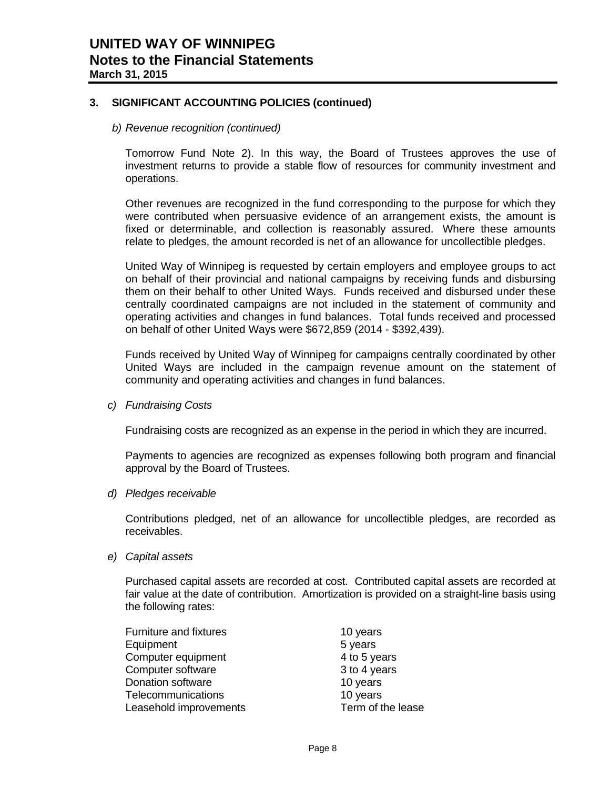## **3. SIGNIFICANT ACCOUNTING POLICIES (continued)**

#### *b) Revenue recognition (continued)*

 Tomorrow Fund Note 2). In this way, the Board of Trustees approves the use of investment returns to provide a stable flow of resources for community investment and operations.

Other revenues are recognized in the fund corresponding to the purpose for which they were contributed when persuasive evidence of an arrangement exists, the amount is fixed or determinable, and collection is reasonably assured. Where these amounts relate to pledges, the amount recorded is net of an allowance for uncollectible pledges.

United Way of Winnipeg is requested by certain employers and employee groups to act on behalf of their provincial and national campaigns by receiving funds and disbursing them on their behalf to other United Ways. Funds received and disbursed under these centrally coordinated campaigns are not included in the statement of community and operating activities and changes in fund balances. Total funds received and processed on behalf of other United Ways were \$672,859 (2014 - \$392,439).

Funds received by United Way of Winnipeg for campaigns centrally coordinated by other United Ways are included in the campaign revenue amount on the statement of community and operating activities and changes in fund balances.

*c) Fundraising Costs* 

Fundraising costs are recognized as an expense in the period in which they are incurred.

Payments to agencies are recognized as expenses following both program and financial approval by the Board of Trustees.

*d) Pledges receivable* 

 Contributions pledged, net of an allowance for uncollectible pledges, are recorded as receivables.

*e) Capital assets* 

 Purchased capital assets are recorded at cost. Contributed capital assets are recorded at fair value at the date of contribution. Amortization is provided on a straight-line basis using the following rates:

| <b>Furniture and fixtures</b> | 10 years          |
|-------------------------------|-------------------|
| Equipment                     | 5 years           |
| Computer equipment            | 4 to 5 years      |
| Computer software             | 3 to 4 years      |
| Donation software             | 10 years          |
| <b>Telecommunications</b>     | 10 years          |
| Leasehold improvements        | Term of the lease |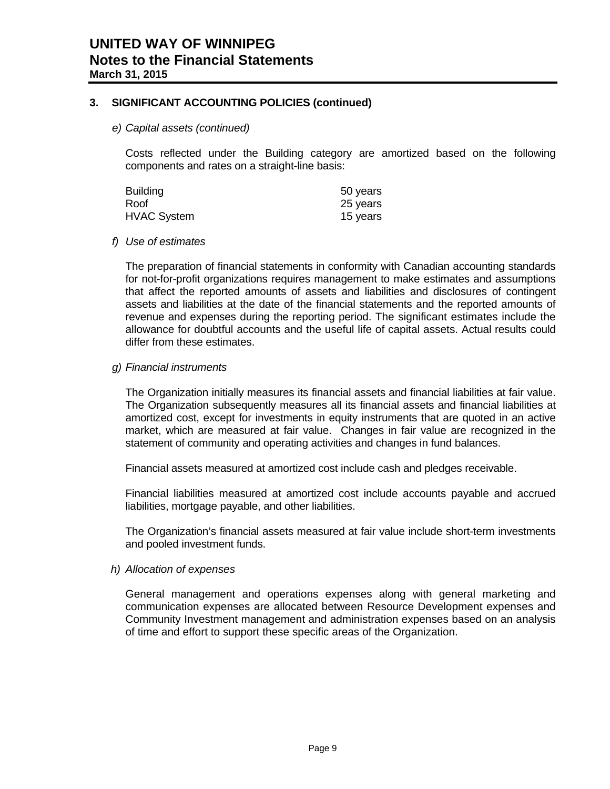## **3. SIGNIFICANT ACCOUNTING POLICIES (continued)**

#### *e) Capital assets (continued)*

Costs reflected under the Building category are amortized based on the following components and rates on a straight-line basis:

| <b>Building</b>    | 50 years |
|--------------------|----------|
| Roof               | 25 years |
| <b>HVAC System</b> | 15 years |

#### *f) Use of estimates*

The preparation of financial statements in conformity with Canadian accounting standards for not-for-profit organizations requires management to make estimates and assumptions that affect the reported amounts of assets and liabilities and disclosures of contingent assets and liabilities at the date of the financial statements and the reported amounts of revenue and expenses during the reporting period. The significant estimates include the allowance for doubtful accounts and the useful life of capital assets. Actual results could differ from these estimates.

#### *g) Financial instruments*

The Organization initially measures its financial assets and financial liabilities at fair value. The Organization subsequently measures all its financial assets and financial liabilities at amortized cost, except for investments in equity instruments that are quoted in an active market, which are measured at fair value. Changes in fair value are recognized in the statement of community and operating activities and changes in fund balances.

Financial assets measured at amortized cost include cash and pledges receivable.

Financial liabilities measured at amortized cost include accounts payable and accrued liabilities, mortgage payable, and other liabilities.

The Organization's financial assets measured at fair value include short-term investments and pooled investment funds.

#### *h) Allocation of expenses*

General management and operations expenses along with general marketing and communication expenses are allocated between Resource Development expenses and Community Investment management and administration expenses based on an analysis of time and effort to support these specific areas of the Organization.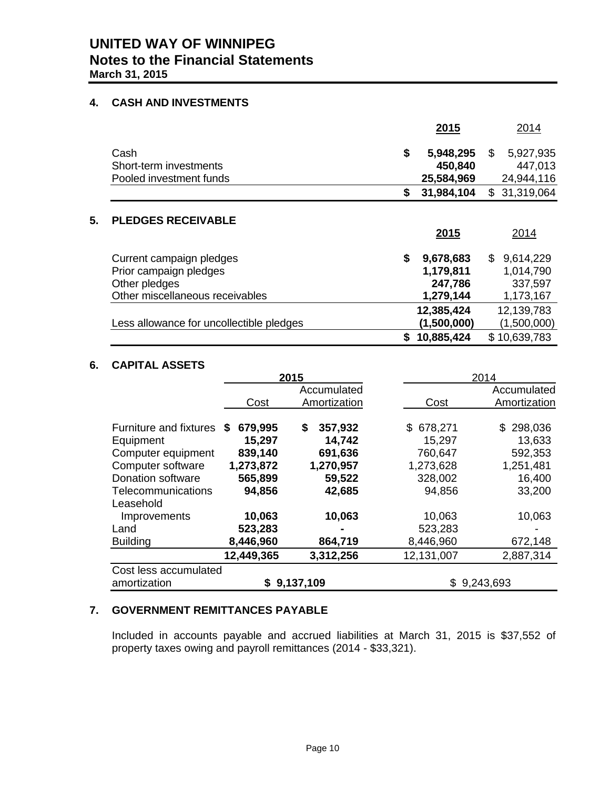## **4. CASH AND INVESTMENTS**

|    |                                                   | 2015                  | 2014                  |
|----|---------------------------------------------------|-----------------------|-----------------------|
|    | Cash                                              | \$<br>5,948,295       | \$<br>5,927,935       |
|    | Short-term investments<br>Pooled investment funds | 450,840<br>25,584,969 | 447,013<br>24,944,116 |
|    |                                                   | \$<br>31,984,104      | \$31,319,064          |
| 5. | <b>PLEDGES RECEIVABLE</b>                         |                       |                       |
|    |                                                   | 2015                  | 2014                  |
|    | Current campaign pledges                          | \$<br>9,678,683       | \$<br>9,614,229       |
|    | Prior campaign pledges                            | 1,179,811             | 1,014,790             |
|    | Other pledges                                     | 247,786               | 337,597               |
|    | Other miscellaneous receivables                   | 1,279,144             | 1,173,167             |
|    |                                                   | 12,385,424            | 12,139,783            |
|    | Less allowance for uncollectible pledges          | (1,500,000)           | (1,500,000)           |
|    |                                                   | \$<br>10,885,424      | \$10,639,783          |

## **6. CAPITAL ASSETS**

|                          |              | 2015          |                | 2014         |
|--------------------------|--------------|---------------|----------------|--------------|
|                          |              | Accumulated   |                | Accumulated  |
|                          | Cost         | Amortization  | Cost           | Amortization |
| Furniture and fixtures   | 679,995<br>S | 357,932<br>\$ | 678,271<br>\$. | \$298,036    |
| Equipment                | 15,297       | 14,742        | 15,297         | 13,633       |
| Computer equipment       | 839,140      | 691,636       | 760,647        | 592,353      |
| Computer software        | 1,273,872    | 1,270,957     | 1,273,628      | 1,251,481    |
| <b>Donation software</b> | 565,899      | 59,522        | 328,002        | 16,400       |
| Telecommunications       | 94,856       | 42,685        | 94,856         | 33,200       |
| Leasehold                |              |               |                |              |
| Improvements             | 10,063       | 10,063        | 10,063         | 10,063       |
| Land                     | 523,283      |               | 523,283        |              |
| <b>Building</b>          | 8,446,960    | 864,719       | 8,446,960      | 672,148      |
|                          | 12,449,365   | 3,312,256     | 12,131,007     | 2,887,314    |
| Cost less accumulated    |              |               |                |              |
| amortization             |              | \$9,137,109   |                | \$9,243,693  |

## **7. GOVERNMENT REMITTANCES PAYABLE**

 Included in accounts payable and accrued liabilities at March 31, 2015 is \$37,552 of property taxes owing and payroll remittances (2014 - \$33,321).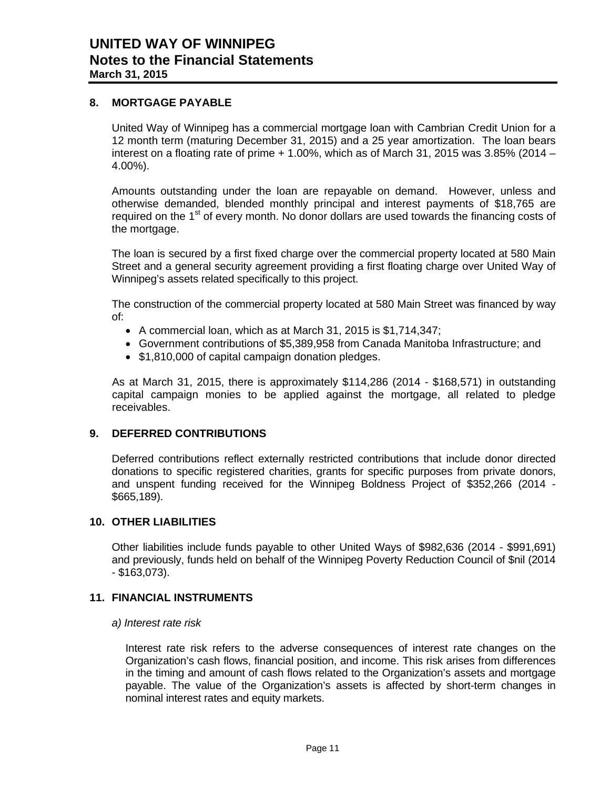## **8. MORTGAGE PAYABLE**

 United Way of Winnipeg has a commercial mortgage loan with Cambrian Credit Union for a 12 month term (maturing December 31, 2015) and a 25 year amortization. The loan bears interest on a floating rate of prime  $+ 1.00\%$ , which as of March 31, 2015 was 3.85% (2014 – 4.00%).

 Amounts outstanding under the loan are repayable on demand. However, unless and otherwise demanded, blended monthly principal and interest payments of \$18,765 are required on the 1<sup>st</sup> of every month. No donor dollars are used towards the financing costs of the mortgage.

 The loan is secured by a first fixed charge over the commercial property located at 580 Main Street and a general security agreement providing a first floating charge over United Way of Winnipeg's assets related specifically to this project.

 The construction of the commercial property located at 580 Main Street was financed by way of:

- A commercial loan, which as at March 31, 2015 is \$1,714,347;
- Government contributions of \$5,389,958 from Canada Manitoba Infrastructure; and
- \$1,810,000 of capital campaign donation pledges.

As at March 31, 2015, there is approximately \$114,286 (2014 - \$168,571) in outstanding capital campaign monies to be applied against the mortgage, all related to pledge receivables.

### **9. DEFERRED CONTRIBUTIONS**

Deferred contributions reflect externally restricted contributions that include donor directed donations to specific registered charities, grants for specific purposes from private donors, and unspent funding received for the Winnipeg Boldness Project of \$352,266 (2014 - \$665,189).

## **10. OTHER LIABILITIES**

Other liabilities include funds payable to other United Ways of \$982,636 (2014 - \$991,691) and previously, funds held on behalf of the Winnipeg Poverty Reduction Council of \$nil (2014 - \$163,073).

#### **11. FINANCIAL INSTRUMENTS**

#### *a) Interest rate risk*

Interest rate risk refers to the adverse consequences of interest rate changes on the Organization's cash flows, financial position, and income. This risk arises from differences in the timing and amount of cash flows related to the Organization's assets and mortgage payable. The value of the Organization's assets is affected by short-term changes in nominal interest rates and equity markets.